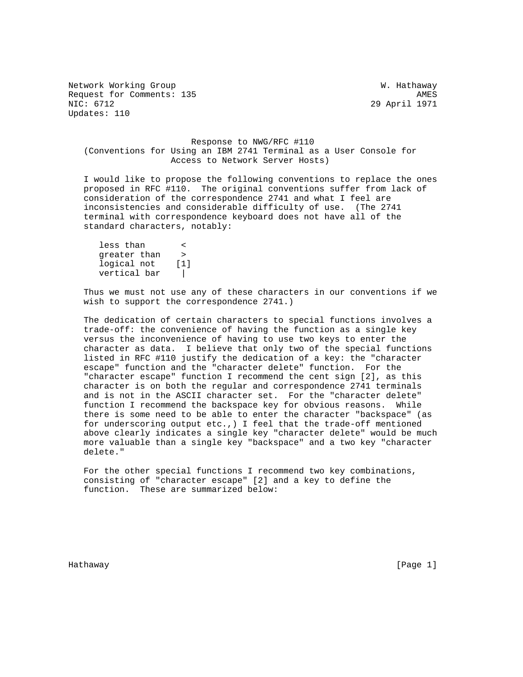Network Working Group West Communications and Muslim W. Hathaway Request for Comments: 135 AMES<br>NIC: 6712 29 April 1971 Updates: 110

29 April 1971

 Response to NWG/RFC #110 (Conventions for Using an IBM 2741 Terminal as a User Console for Access to Network Server Hosts)

 I would like to propose the following conventions to replace the ones proposed in RFC #110. The original conventions suffer from lack of consideration of the correspondence 2741 and what I feel are inconsistencies and considerable difficulty of use. (The 2741 terminal with correspondence keyboard does not have all of the standard characters, notably:

 less than < greater than > logical not [1] vertical bar |

 Thus we must not use any of these characters in our conventions if we wish to support the correspondence 2741.)

 The dedication of certain characters to special functions involves a trade-off: the convenience of having the function as a single key versus the inconvenience of having to use two keys to enter the character as data. I believe that only two of the special functions listed in RFC #110 justify the dedication of a key: the "character escape" function and the "character delete" function. For the "character escape" function I recommend the cent sign [2], as this character is on both the regular and correspondence 2741 terminals and is not in the ASCII character set. For the "character delete" function I recommend the backspace key for obvious reasons. While there is some need to be able to enter the character "backspace" (as for underscoring output etc.,) I feel that the trade-off mentioned above clearly indicates a single key "character delete" would be much more valuable than a single key "backspace" and a two key "character delete."

 For the other special functions I recommend two key combinations, consisting of "character escape" [2] and a key to define the function. These are summarized below:

Hathaway [Page 1]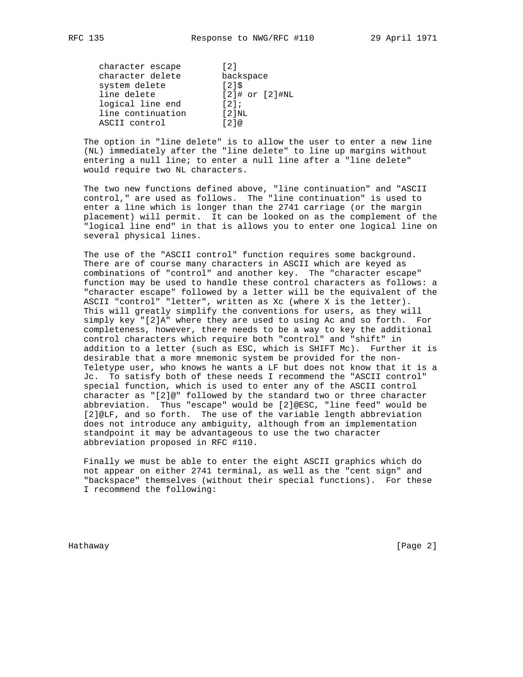| character escape  |  | $\lceil 2 \rceil$    |  |
|-------------------|--|----------------------|--|
| character delete  |  | backspace            |  |
| system delete     |  | 1215                 |  |
| line delete       |  | $[2]$ # or $[2]$ #NL |  |
| logical line end  |  | 121;                 |  |
| line continuation |  | $12$ $NL$            |  |
| ASCII control     |  | 121@                 |  |

 The option in "line delete" is to allow the user to enter a new line (NL) immediately after the "line delete" to line up margins without entering a null line; to enter a null line after a "line delete" would require two NL characters.

 The two new functions defined above, "line continuation" and "ASCII control," are used as follows. The "line continuation" is used to enter a line which is longer than the 2741 carriage (or the margin placement) will permit. It can be looked on as the complement of the "logical line end" in that is allows you to enter one logical line on several physical lines.

 The use of the "ASCII control" function requires some background. There are of course many characters in ASCII which are keyed as combinations of "control" and another key. The "character escape" function may be used to handle these control characters as follows: a "character escape" followed by a letter will be the equivalent of the ASCII "control" "letter", written as Xc (where X is the letter). This will greatly simplify the conventions for users, as they will simply key "[2]A" where they are used to using Ac and so forth. For completeness, however, there needs to be a way to key the additional control characters which require both "control" and "shift" in addition to a letter (such as ESC, which is SHIFT Mc). Further it is desirable that a more mnemonic system be provided for the non- Teletype user, who knows he wants a LF but does not know that it is a Jc. To satisfy both of these needs I recommend the "ASCII control" special function, which is used to enter any of the ASCII control character as "[2]@" followed by the standard two or three character abbreviation. Thus "escape" would be [2]@ESC, "line feed" would be [2]@LF, and so forth. The use of the variable length abbreviation does not introduce any ambiguity, although from an implementation standpoint it may be advantageous to use the two character abbreviation proposed in RFC #110.

 Finally we must be able to enter the eight ASCII graphics which do not appear on either 2741 terminal, as well as the "cent sign" and "backspace" themselves (without their special functions). For these I recommend the following:

Hathaway [Page 2]